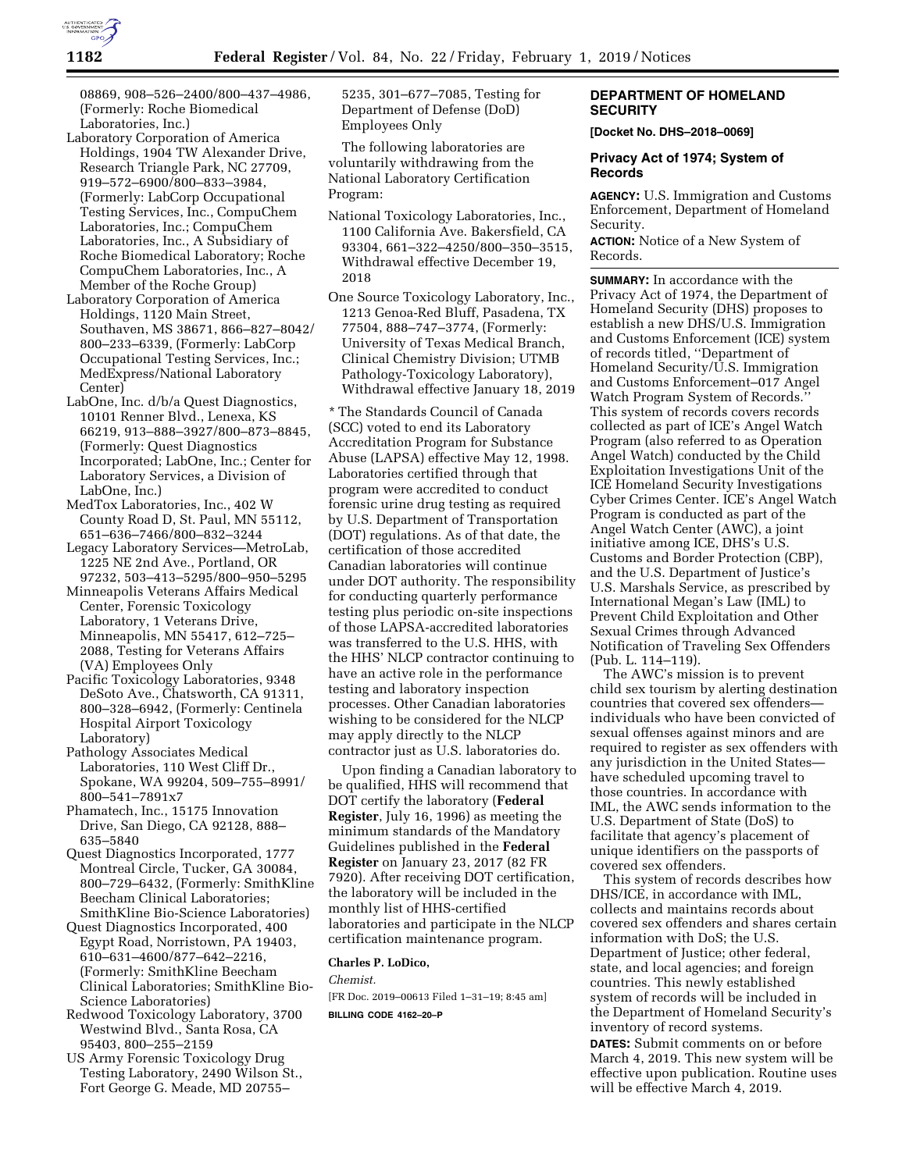

08869, 908–526–2400/800–437–4986, (Formerly: Roche Biomedical Laboratories, Inc.)

- Laboratory Corporation of America Holdings, 1904 TW Alexander Drive, Research Triangle Park, NC 27709, 919–572–6900/800–833–3984, (Formerly: LabCorp Occupational Testing Services, Inc., CompuChem Laboratories, Inc.; CompuChem Laboratories, Inc., A Subsidiary of Roche Biomedical Laboratory; Roche CompuChem Laboratories, Inc., A Member of the Roche Group)
- Laboratory Corporation of America Holdings, 1120 Main Street, Southaven, MS 38671, 866–827–8042/ 800–233–6339, (Formerly: LabCorp Occupational Testing Services, Inc.; MedExpress/National Laboratory Center)
- LabOne, Inc. d/b/a Quest Diagnostics, 10101 Renner Blvd., Lenexa, KS 66219, 913–888–3927/800–873–8845, (Formerly: Quest Diagnostics Incorporated; LabOne, Inc.; Center for Laboratory Services, a Division of LabOne, Inc.)
- MedTox Laboratories, Inc., 402 W County Road D, St. Paul, MN 55112, 651–636–7466/800–832–3244
- Legacy Laboratory Services—MetroLab, 1225 NE 2nd Ave., Portland, OR 97232, 503–413–5295/800–950–5295
- Minneapolis Veterans Affairs Medical Center, Forensic Toxicology Laboratory, 1 Veterans Drive, Minneapolis, MN 55417, 612–725– 2088, Testing for Veterans Affairs (VA) Employees Only
- Pacific Toxicology Laboratories, 9348 DeSoto Ave., Chatsworth, CA 91311, 800–328–6942, (Formerly: Centinela Hospital Airport Toxicology Laboratory)
- Pathology Associates Medical Laboratories, 110 West Cliff Dr., Spokane, WA 99204, 509–755–8991/ 800–541–7891x7
- Phamatech, Inc., 15175 Innovation Drive, San Diego, CA 92128, 888– 635–5840
- Quest Diagnostics Incorporated, 1777 Montreal Circle, Tucker, GA 30084, 800–729–6432, (Formerly: SmithKline Beecham Clinical Laboratories; SmithKline Bio-Science Laboratories)
- Quest Diagnostics Incorporated, 400 Egypt Road, Norristown, PA 19403, 610–631–4600/877–642–2216, (Formerly: SmithKline Beecham Clinical Laboratories; SmithKline Bio-Science Laboratories)
- Redwood Toxicology Laboratory, 3700 Westwind Blvd., Santa Rosa, CA 95403, 800–255–2159
- US Army Forensic Toxicology Drug Testing Laboratory, 2490 Wilson St., Fort George G. Meade, MD 20755–

5235, 301–677–7085, Testing for Department of Defense (DoD) Employees Only

The following laboratories are voluntarily withdrawing from the National Laboratory Certification Program:

- National Toxicology Laboratories, Inc., 1100 California Ave. Bakersfield, CA 93304, 661–322–4250/800–350–3515, Withdrawal effective December 19, 2018
- One Source Toxicology Laboratory, Inc., 1213 Genoa-Red Bluff, Pasadena, TX 77504, 888–747–3774, (Formerly: University of Texas Medical Branch, Clinical Chemistry Division; UTMB Pathology-Toxicology Laboratory), Withdrawal effective January 18, 2019

\* The Standards Council of Canada (SCC) voted to end its Laboratory Accreditation Program for Substance Abuse (LAPSA) effective May 12, 1998. Laboratories certified through that program were accredited to conduct forensic urine drug testing as required by U.S. Department of Transportation (DOT) regulations. As of that date, the certification of those accredited Canadian laboratories will continue under DOT authority. The responsibility for conducting quarterly performance testing plus periodic on-site inspections of those LAPSA-accredited laboratories was transferred to the U.S. HHS, with the HHS' NLCP contractor continuing to have an active role in the performance testing and laboratory inspection processes. Other Canadian laboratories wishing to be considered for the NLCP may apply directly to the NLCP contractor just as U.S. laboratories do.

Upon finding a Canadian laboratory to be qualified, HHS will recommend that DOT certify the laboratory (**Federal Register**, July 16, 1996) as meeting the minimum standards of the Mandatory Guidelines published in the **Federal Register** on January 23, 2017 (82 FR 7920). After receiving DOT certification, the laboratory will be included in the monthly list of HHS-certified laboratories and participate in the NLCP certification maintenance program.

### **Charles P. LoDico,**

*Chemist.* 

[FR Doc. 2019–00613 Filed 1–31–19; 8:45 am] **BILLING CODE 4162–20–P** 

# **DEPARTMENT OF HOMELAND SECURITY**

**[Docket No. DHS–2018–0069]** 

## **Privacy Act of 1974; System of Records**

**AGENCY:** U.S. Immigration and Customs Enforcement, Department of Homeland Security.

**ACTION:** Notice of a New System of Records.

**SUMMARY:** In accordance with the Privacy Act of 1974, the Department of Homeland Security (DHS) proposes to establish a new DHS/U.S. Immigration and Customs Enforcement (ICE) system of records titled, ''Department of Homeland Security/U.S. Immigration and Customs Enforcement–017 Angel Watch Program System of Records.'' This system of records covers records collected as part of ICE's Angel Watch Program (also referred to as Operation Angel Watch) conducted by the Child Exploitation Investigations Unit of the ICE Homeland Security Investigations Cyber Crimes Center. ICE's Angel Watch Program is conducted as part of the Angel Watch Center (AWC), a joint initiative among ICE, DHS's U.S. Customs and Border Protection (CBP), and the U.S. Department of Justice's U.S. Marshals Service, as prescribed by International Megan's Law (IML) to Prevent Child Exploitation and Other Sexual Crimes through Advanced Notification of Traveling Sex Offenders (Pub. L. 114–119).

The AWC's mission is to prevent child sex tourism by alerting destination countries that covered sex offenders individuals who have been convicted of sexual offenses against minors and are required to register as sex offenders with any jurisdiction in the United States have scheduled upcoming travel to those countries. In accordance with IML, the AWC sends information to the U.S. Department of State (DoS) to facilitate that agency's placement of unique identifiers on the passports of covered sex offenders.

This system of records describes how DHS/ICE, in accordance with IML, collects and maintains records about covered sex offenders and shares certain information with DoS; the U.S. Department of Justice; other federal, state, and local agencies; and foreign countries. This newly established system of records will be included in the Department of Homeland Security's inventory of record systems. **DATES:** Submit comments on or before March 4, 2019. This new system will be effective upon publication. Routine uses will be effective March 4, 2019.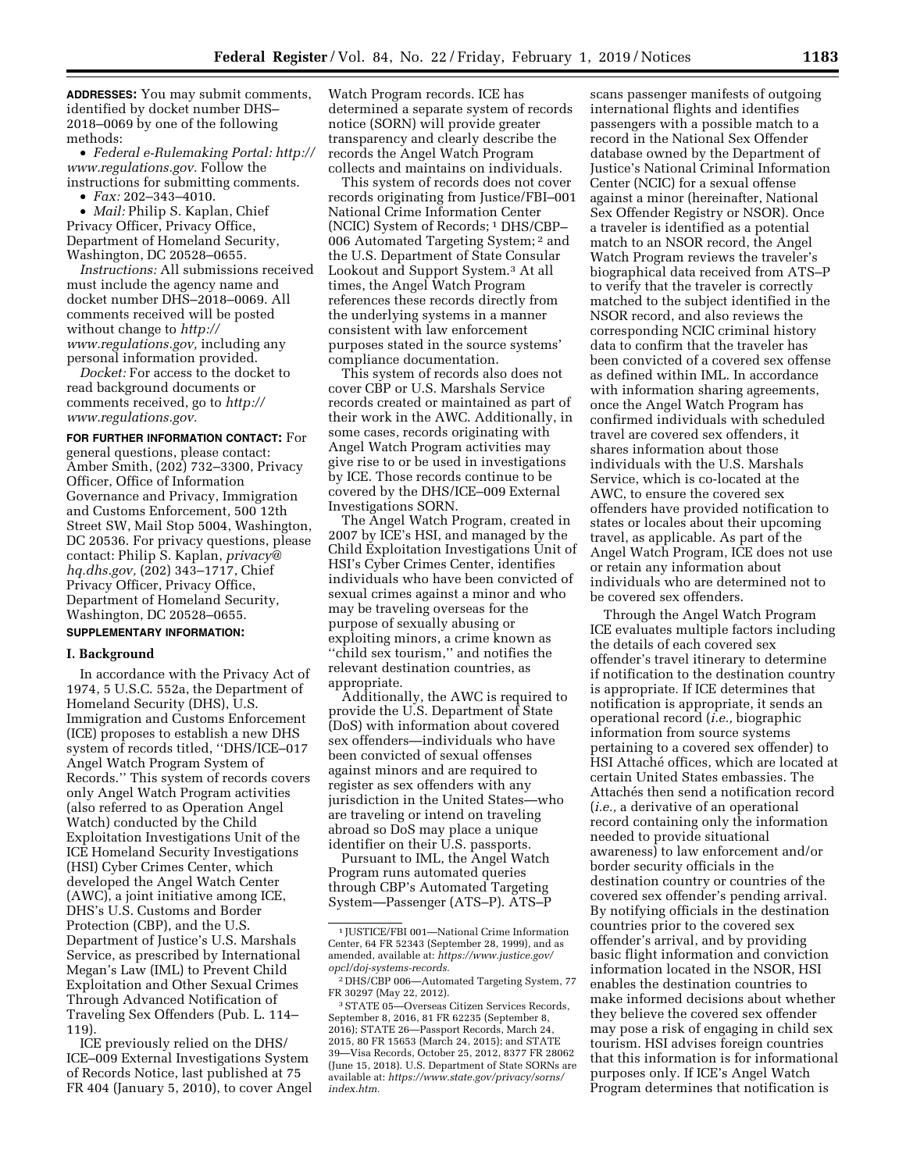**ADDRESSES:** You may submit comments, identified by docket number DHS– 2018–0069 by one of the following methods:

• *Federal e-Rulemaking Portal: [http://](http://www.regulations.gov)  [www.regulations.gov.](http://www.regulations.gov)* Follow the instructions for submitting comments.

• *Fax:* 202–343–4010.

• *Mail:* Philip S. Kaplan, Chief Privacy Officer, Privacy Office, Department of Homeland Security, Washington, DC 20528–0655.

*Instructions:* All submissions received must include the agency name and docket number DHS–2018–0069. All comments received will be posted without change to *[http://](http://www.regulations.gov) [www.regulations.gov,](http://www.regulations.gov)* including any personal information provided.

*Docket:* For access to the docket to read background documents or comments received, go to *[http://](http://www.regulations.gov) [www.regulations.gov.](http://www.regulations.gov)* 

**FOR FURTHER INFORMATION CONTACT:** For general questions, please contact: Amber Smith, (202) 732–3300, Privacy Officer, Office of Information Governance and Privacy, Immigration and Customs Enforcement, 500 12th Street SW, Mail Stop 5004, Washington, DC 20536. For privacy questions, please contact: Philip S. Kaplan, *[privacy@](mailto:privacy@hq.dhs.gov) [hq.dhs.gov,](mailto:privacy@hq.dhs.gov)* (202) 343–1717, Chief Privacy Officer, Privacy Office, Department of Homeland Security, Washington, DC 20528–0655.

# **SUPPLEMENTARY INFORMATION:**

#### **I. Background**

In accordance with the Privacy Act of 1974, 5 U.S.C. 552a, the Department of Homeland Security (DHS), U.S. Immigration and Customs Enforcement (ICE) proposes to establish a new DHS system of records titled, ''DHS/ICE–017 Angel Watch Program System of Records.'' This system of records covers only Angel Watch Program activities (also referred to as Operation Angel Watch) conducted by the Child Exploitation Investigations Unit of the ICE Homeland Security Investigations (HSI) Cyber Crimes Center, which developed the Angel Watch Center (AWC), a joint initiative among ICE, DHS's U.S. Customs and Border Protection (CBP), and the U.S. Department of Justice's U.S. Marshals Service, as prescribed by International Megan's Law (IML) to Prevent Child Exploitation and Other Sexual Crimes Through Advanced Notification of Traveling Sex Offenders (Pub. L. 114– 119).

ICE previously relied on the DHS/ ICE–009 External Investigations System of Records Notice, last published at 75 FR 404 (January 5, 2010), to cover Angel

Watch Program records. ICE has determined a separate system of records notice (SORN) will provide greater transparency and clearly describe the records the Angel Watch Program collects and maintains on individuals.

This system of records does not cover records originating from Justice/FBI–001 National Crime Information Center (NCIC) System of Records; 1 DHS/CBP– 006 Automated Targeting System; 2 and the U.S. Department of State Consular Lookout and Support System.3 At all times, the Angel Watch Program references these records directly from the underlying systems in a manner consistent with law enforcement purposes stated in the source systems' compliance documentation.

This system of records also does not cover CBP or U.S. Marshals Service records created or maintained as part of their work in the AWC. Additionally, in some cases, records originating with Angel Watch Program activities may give rise to or be used in investigations by ICE. Those records continue to be covered by the DHS/ICE–009 External Investigations SORN.

The Angel Watch Program, created in 2007 by ICE's HSI, and managed by the Child Exploitation Investigations Unit of HSI's Cyber Crimes Center, identifies individuals who have been convicted of sexual crimes against a minor and who may be traveling overseas for the purpose of sexually abusing or exploiting minors, a crime known as ''child sex tourism,'' and notifies the relevant destination countries, as appropriate.

Additionally, the AWC is required to provide the U.S. Department of State (DoS) with information about covered sex offenders—individuals who have been convicted of sexual offenses against minors and are required to register as sex offenders with any jurisdiction in the United States—who are traveling or intend on traveling abroad so DoS may place a unique identifier on their U.S. passports.

Pursuant to IML, the Angel Watch Program runs automated queries through CBP's Automated Targeting System—Passenger (ATS–P). ATS–P

scans passenger manifests of outgoing international flights and identifies passengers with a possible match to a record in the National Sex Offender database owned by the Department of Justice's National Criminal Information Center (NCIC) for a sexual offense against a minor (hereinafter, National Sex Offender Registry or NSOR). Once a traveler is identified as a potential match to an NSOR record, the Angel Watch Program reviews the traveler's biographical data received from ATS–P to verify that the traveler is correctly matched to the subject identified in the NSOR record, and also reviews the corresponding NCIC criminal history data to confirm that the traveler has been convicted of a covered sex offense as defined within IML. In accordance with information sharing agreements, once the Angel Watch Program has confirmed individuals with scheduled travel are covered sex offenders, it shares information about those individuals with the U.S. Marshals Service, which is co-located at the AWC, to ensure the covered sex offenders have provided notification to states or locales about their upcoming travel, as applicable. As part of the Angel Watch Program, ICE does not use or retain any information about individuals who are determined not to be covered sex offenders.

Through the Angel Watch Program ICE evaluates multiple factors including the details of each covered sex offender's travel itinerary to determine if notification to the destination country is appropriate. If ICE determines that notification is appropriate, it sends an operational record (*i.e.,* biographic information from source systems pertaining to a covered sex offender) to HSI Attaché offices, which are located at certain United States embassies. The Attachés then send a notification record (*i.e.,* a derivative of an operational record containing only the information needed to provide situational awareness) to law enforcement and/or border security officials in the destination country or countries of the covered sex offender's pending arrival. By notifying officials in the destination countries prior to the covered sex offender's arrival, and by providing basic flight information and conviction information located in the NSOR, HSI enables the destination countries to make informed decisions about whether they believe the covered sex offender may pose a risk of engaging in child sex tourism. HSI advises foreign countries that this information is for informational purposes only. If ICE's Angel Watch Program determines that notification is

<sup>1</sup> JUSTICE/FBI 001—National Crime Information Center, 64 FR 52343 (September 28, 1999), and as amended, available at: *[https://www.justice.gov/](https://www.justice.gov/opcl/doj-systems-records) [opcl/doj-systems-records.](https://www.justice.gov/opcl/doj-systems-records)* 

<sup>2</sup> DHS/CBP 006—Automated Targeting System, 77 FR 30297 (May 22, 2012).

<sup>3</sup>STATE 05—Overseas Citizen Services Records, September 8, 2016, 81 FR 62235 (September 8, 2016); STATE 26—Passport Records, March 24, 2015, 80 FR 15653 (March 24, 2015); and STATE 39—Visa Records, October 25, 2012, 8377 FR 28062 (June 15, 2018). U.S. Department of State SORNs are available at: *[https://www.state.gov/privacy/sorns/](https://www.state.gov/privacy/sorns/index.htm) [index.htm.](https://www.state.gov/privacy/sorns/index.htm)*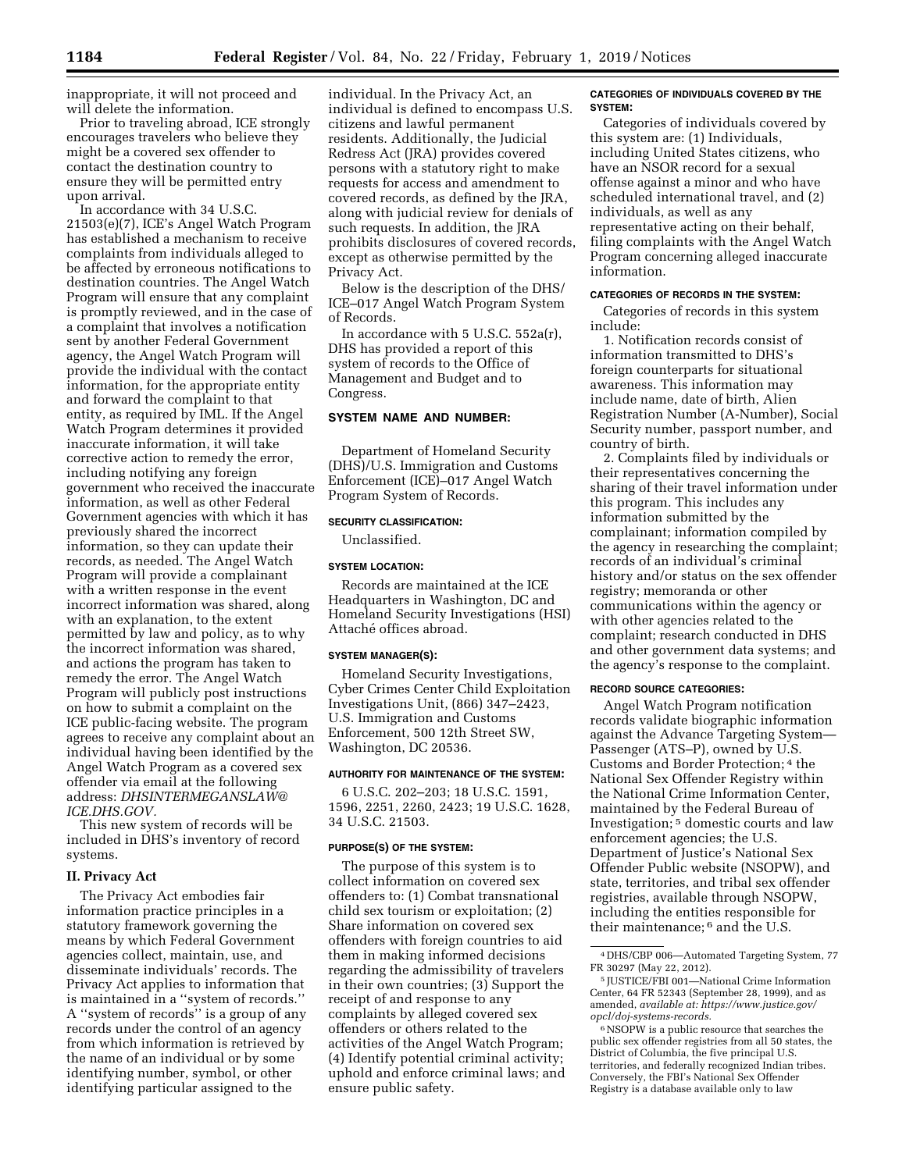inappropriate, it will not proceed and will delete the information.

Prior to traveling abroad, ICE strongly encourages travelers who believe they might be a covered sex offender to contact the destination country to ensure they will be permitted entry upon arrival.

In accordance with 34 U.S.C. 21503(e)(7), ICE's Angel Watch Program has established a mechanism to receive complaints from individuals alleged to be affected by erroneous notifications to destination countries. The Angel Watch Program will ensure that any complaint is promptly reviewed, and in the case of a complaint that involves a notification sent by another Federal Government agency, the Angel Watch Program will provide the individual with the contact information, for the appropriate entity and forward the complaint to that entity, as required by IML. If the Angel Watch Program determines it provided inaccurate information, it will take corrective action to remedy the error, including notifying any foreign government who received the inaccurate information, as well as other Federal Government agencies with which it has previously shared the incorrect information, so they can update their records, as needed. The Angel Watch Program will provide a complainant with a written response in the event incorrect information was shared, along with an explanation, to the extent permitted by law and policy, as to why the incorrect information was shared, and actions the program has taken to remedy the error. The Angel Watch Program will publicly post instructions on how to submit a complaint on the ICE public-facing website. The program agrees to receive any complaint about an individual having been identified by the Angel Watch Program as a covered sex offender via email at the following address: *[DHSINTERMEGANSLAW@](mailto:DHSINTERMEGANSLAW@ICE.DHS.GOV) [ICE.DHS.GOV.](mailto:DHSINTERMEGANSLAW@ICE.DHS.GOV)* 

This new system of records will be included in DHS's inventory of record systems.

### **II. Privacy Act**

The Privacy Act embodies fair information practice principles in a statutory framework governing the means by which Federal Government agencies collect, maintain, use, and disseminate individuals' records. The Privacy Act applies to information that is maintained in a ''system of records.'' A ''system of records'' is a group of any records under the control of an agency from which information is retrieved by the name of an individual or by some identifying number, symbol, or other identifying particular assigned to the

individual. In the Privacy Act, an individual is defined to encompass U.S. citizens and lawful permanent residents. Additionally, the Judicial Redress Act (JRA) provides covered persons with a statutory right to make requests for access and amendment to covered records, as defined by the JRA, along with judicial review for denials of such requests. In addition, the JRA prohibits disclosures of covered records, except as otherwise permitted by the Privacy Act.

Below is the description of the DHS/ ICE–017 Angel Watch Program System of Records.

In accordance with 5 U.S.C. 552a(r), DHS has provided a report of this system of records to the Office of Management and Budget and to Congress.

# **SYSTEM NAME AND NUMBER:**

Department of Homeland Security (DHS)/U.S. Immigration and Customs Enforcement (ICE)–017 Angel Watch Program System of Records.

#### **SECURITY CLASSIFICATION:**

Unclassified.

#### **SYSTEM LOCATION:**

Records are maintained at the ICE Headquarters in Washington, DC and Homeland Security Investigations (HSI) Attaché offices abroad.

#### **SYSTEM MANAGER(S):**

Homeland Security Investigations, Cyber Crimes Center Child Exploitation Investigations Unit, (866) 347–2423, U.S. Immigration and Customs Enforcement, 500 12th Street SW, Washington, DC 20536.

### **AUTHORITY FOR MAINTENANCE OF THE SYSTEM:**

6 U.S.C. 202–203; 18 U.S.C. 1591, 1596, 2251, 2260, 2423; 19 U.S.C. 1628, 34 U.S.C. 21503.

### **PURPOSE(S) OF THE SYSTEM:**

The purpose of this system is to collect information on covered sex offenders to: (1) Combat transnational child sex tourism or exploitation; (2) Share information on covered sex offenders with foreign countries to aid them in making informed decisions regarding the admissibility of travelers in their own countries; (3) Support the receipt of and response to any complaints by alleged covered sex offenders or others related to the activities of the Angel Watch Program; (4) Identify potential criminal activity; uphold and enforce criminal laws; and ensure public safety.

#### **CATEGORIES OF INDIVIDUALS COVERED BY THE SYSTEM:**

Categories of individuals covered by this system are: (1) Individuals, including United States citizens, who have an NSOR record for a sexual offense against a minor and who have scheduled international travel, and (2) individuals, as well as any representative acting on their behalf, filing complaints with the Angel Watch Program concerning alleged inaccurate information.

#### **CATEGORIES OF RECORDS IN THE SYSTEM:**

Categories of records in this system include:

1. Notification records consist of information transmitted to DHS's foreign counterparts for situational awareness. This information may include name, date of birth, Alien Registration Number (A-Number), Social Security number, passport number, and country of birth.

2. Complaints filed by individuals or their representatives concerning the sharing of their travel information under this program. This includes any information submitted by the complainant; information compiled by the agency in researching the complaint; records of an individual's criminal history and/or status on the sex offender registry; memoranda or other communications within the agency or with other agencies related to the complaint; research conducted in DHS and other government data systems; and the agency's response to the complaint.

#### **RECORD SOURCE CATEGORIES:**

Angel Watch Program notification records validate biographic information against the Advance Targeting System— Passenger (ATS–P), owned by U.S. Customs and Border Protection; 4 the National Sex Offender Registry within the National Crime Information Center, maintained by the Federal Bureau of Investigation; 5 domestic courts and law enforcement agencies; the U.S. Department of Justice's National Sex Offender Public website (NSOPW), and state, territories, and tribal sex offender registries, available through NSOPW, including the entities responsible for their maintenance; 6 and the U.S.

<sup>4</sup> DHS/CBP 006—Automated Targeting System, 77 FR 30297 (May 22, 2012).

<sup>5</sup> JUSTICE/FBI 001—National Crime Information Center, 64 FR 52343 (September 28, 1999), and as amended, *available at: [https://www.justice.gov/](https://www.justice.gov/opcl/doj-systems-records)  [opcl/doj-systems-records.](https://www.justice.gov/opcl/doj-systems-records)* 

<sup>6</sup>NSOPW is a public resource that searches the public sex offender registries from all 50 states, the District of Columbia, the five principal U.S. territories, and federally recognized Indian tribes. Conversely, the FBI's National Sex Offender Registry is a database available only to law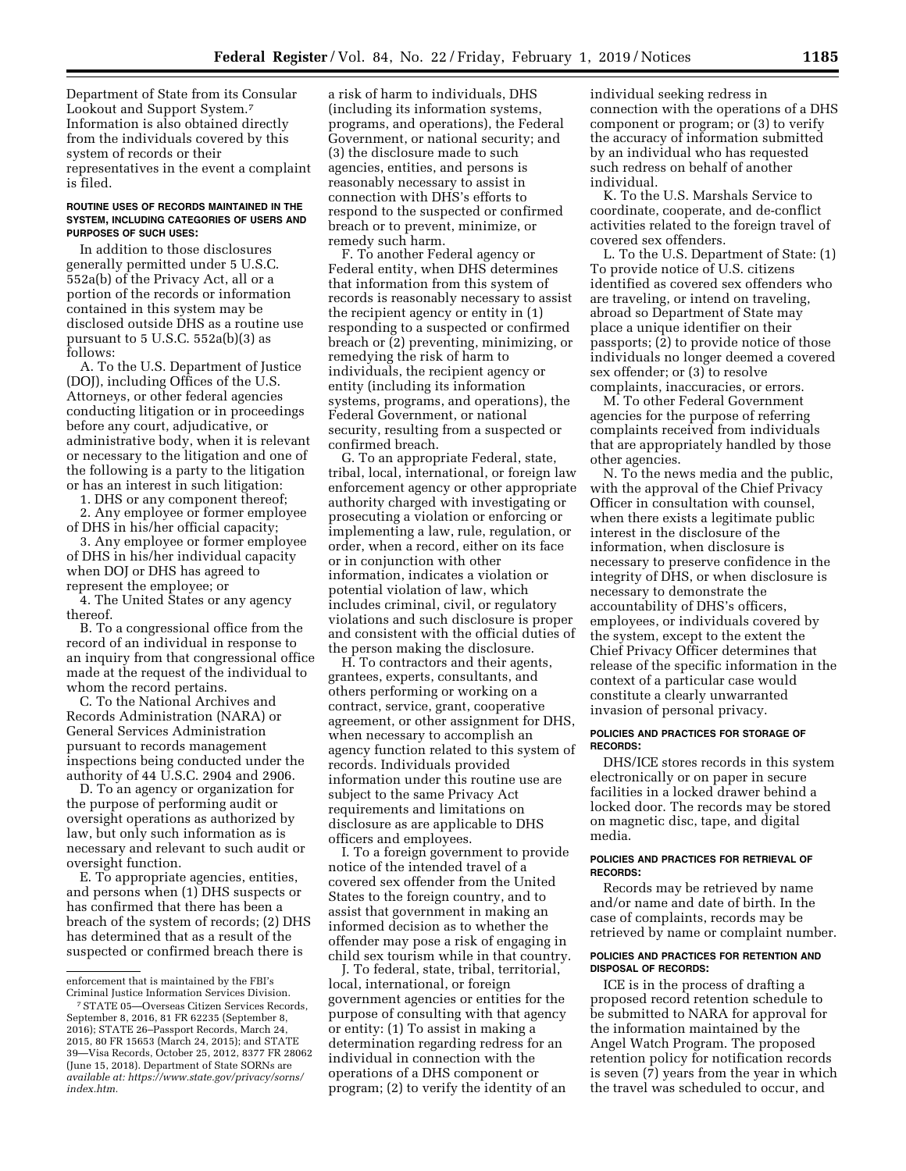Department of State from its Consular Lookout and Support System.7 Information is also obtained directly from the individuals covered by this system of records or their representatives in the event a complaint is filed.

#### **ROUTINE USES OF RECORDS MAINTAINED IN THE SYSTEM, INCLUDING CATEGORIES OF USERS AND PURPOSES OF SUCH USES:**

In addition to those disclosures generally permitted under 5 U.S.C. 552a(b) of the Privacy Act, all or a portion of the records or information contained in this system may be disclosed outside DHS as a routine use pursuant to  $5$  U.S.C.  $552a(b)(3)$  as follows:

A. To the U.S. Department of Justice (DOJ), including Offices of the U.S. Attorneys, or other federal agencies conducting litigation or in proceedings before any court, adjudicative, or administrative body, when it is relevant or necessary to the litigation and one of the following is a party to the litigation or has an interest in such litigation:

1. DHS or any component thereof;

2. Any employee or former employee of DHS in his/her official capacity;

3. Any employee or former employee of DHS in his/her individual capacity when DOJ or DHS has agreed to represent the employee; or

4. The United States or any agency thereof.

B. To a congressional office from the record of an individual in response to an inquiry from that congressional office made at the request of the individual to whom the record pertains.

C. To the National Archives and Records Administration (NARA) or General Services Administration pursuant to records management inspections being conducted under the authority of 44 U.S.C. 2904 and 2906.

D. To an agency or organization for the purpose of performing audit or oversight operations as authorized by law, but only such information as is necessary and relevant to such audit or oversight function.

E. To appropriate agencies, entities, and persons when (1) DHS suspects or has confirmed that there has been a breach of the system of records; (2) DHS has determined that as a result of the suspected or confirmed breach there is

a risk of harm to individuals, DHS (including its information systems, programs, and operations), the Federal Government, or national security; and (3) the disclosure made to such agencies, entities, and persons is reasonably necessary to assist in connection with DHS's efforts to respond to the suspected or confirmed breach or to prevent, minimize, or remedy such harm.

F. To another Federal agency or Federal entity, when DHS determines that information from this system of records is reasonably necessary to assist the recipient agency or entity in (1) responding to a suspected or confirmed breach or (2) preventing, minimizing, or remedying the risk of harm to individuals, the recipient agency or entity (including its information systems, programs, and operations), the Federal Government, or national security, resulting from a suspected or confirmed breach.

G. To an appropriate Federal, state, tribal, local, international, or foreign law enforcement agency or other appropriate authority charged with investigating or prosecuting a violation or enforcing or implementing a law, rule, regulation, or order, when a record, either on its face or in conjunction with other information, indicates a violation or potential violation of law, which includes criminal, civil, or regulatory violations and such disclosure is proper and consistent with the official duties of the person making the disclosure.

H. To contractors and their agents, grantees, experts, consultants, and others performing or working on a contract, service, grant, cooperative agreement, or other assignment for DHS, when necessary to accomplish an agency function related to this system of records. Individuals provided information under this routine use are subject to the same Privacy Act requirements and limitations on disclosure as are applicable to DHS officers and employees.

I. To a foreign government to provide notice of the intended travel of a covered sex offender from the United States to the foreign country, and to assist that government in making an informed decision as to whether the offender may pose a risk of engaging in child sex tourism while in that country.

J. To federal, state, tribal, territorial, local, international, or foreign government agencies or entities for the purpose of consulting with that agency or entity: (1) To assist in making a determination regarding redress for an individual in connection with the operations of a DHS component or program; (2) to verify the identity of an individual seeking redress in connection with the operations of a DHS component or program; or (3) to verify the accuracy of information submitted by an individual who has requested such redress on behalf of another individual.

K. To the U.S. Marshals Service to coordinate, cooperate, and de-conflict activities related to the foreign travel of covered sex offenders.

L. To the U.S. Department of State: (1) To provide notice of U.S. citizens identified as covered sex offenders who are traveling, or intend on traveling, abroad so Department of State may place a unique identifier on their passports; (2) to provide notice of those individuals no longer deemed a covered sex offender; or (3) to resolve complaints, inaccuracies, or errors.

M. To other Federal Government agencies for the purpose of referring complaints received from individuals that are appropriately handled by those other agencies.

N. To the news media and the public, with the approval of the Chief Privacy Officer in consultation with counsel, when there exists a legitimate public interest in the disclosure of the information, when disclosure is necessary to preserve confidence in the integrity of DHS, or when disclosure is necessary to demonstrate the accountability of DHS's officers, employees, or individuals covered by the system, except to the extent the Chief Privacy Officer determines that release of the specific information in the context of a particular case would constitute a clearly unwarranted invasion of personal privacy.

#### **POLICIES AND PRACTICES FOR STORAGE OF RECORDS:**

DHS/ICE stores records in this system electronically or on paper in secure facilities in a locked drawer behind a locked door. The records may be stored on magnetic disc, tape, and digital media.

### **POLICIES AND PRACTICES FOR RETRIEVAL OF RECORDS:**

Records may be retrieved by name and/or name and date of birth. In the case of complaints, records may be retrieved by name or complaint number.

#### **POLICIES AND PRACTICES FOR RETENTION AND DISPOSAL OF RECORDS:**

ICE is in the process of drafting a proposed record retention schedule to be submitted to NARA for approval for the information maintained by the Angel Watch Program. The proposed retention policy for notification records is seven (7) years from the year in which the travel was scheduled to occur, and

enforcement that is maintained by the FBI's Criminal Justice Information Services Division.

<sup>7</sup>STATE 05—Overseas Citizen Services Records, September 8, 2016, 81 FR 62235 (September 8, 2016); STATE 26–Passport Records, March 24, 2015, 80 FR 15653 (March 24, 2015); and STATE 39—Visa Records, October 25, 2012, 8377 FR 28062 (June 15, 2018). Department of State SORNs are *available at: [https://www.state.gov/privacy/sorns/](https://www.state.gov/privacy/sorns/index.htm) [index.htm.](https://www.state.gov/privacy/sorns/index.htm)*